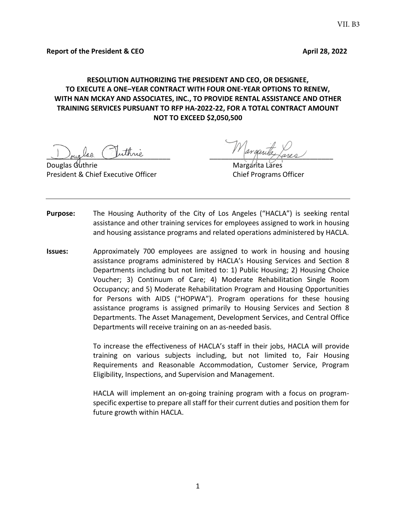# **RESOLUTION AUTHORIZING THE PRESIDENT AND CEO, OR DESIGNEE, TO EXECUTE A ONE–YEAR CONTRACT WITH FOUR ONE-YEAR OPTIONS TO RENEW, WITH NAN MCKAY AND ASSOCIATES, INC., TO PROVIDE RENTAL ASSISTANCE AND OTHER TRAINING SERVICES PURSUANT TO RFP HA-2022-22, FOR A TOTAL CONTRACT AMOUNT NOT TO EXCEED \$2,050,500**

Jouglas Juinne

Douglas Guthrie President & Chief Executive Officer Chief Programs Officer

- **Purpose:** The Housing Authority of the City of Los Angeles ("HACLA") is seeking rental assistance and other training services for employees assigned to work in housing and housing assistance programs and related operations administered by HACLA.
- **Issues:** Approximately 700 employees are assigned to work in housing and housing assistance programs administered by HACLA's Housing Services and Section 8 Departments including but not limited to: 1) Public Housing; 2) Housing Choice Voucher; 3) Continuum of Care; 4) Moderate Rehabilitation Single Room Occupancy; and 5) Moderate Rehabilitation Program and Housing Opportunities for Persons with AIDS ("HOPWA"). Program operations for these housing assistance programs is assigned primarily to Housing Services and Section 8 Departments. The Asset Management, Development Services, and Central Office Departments will receive training on an as-needed basis.

To increase the effectiveness of HACLA's staff in their jobs, HACLA will provide training on various subjects including, but not limited to, Fair Housing Requirements and Reasonable Accommodation, Customer Service, Program Eligibility, Inspections, and Supervision and Management.

HACLA will implement an on-going training program with a focus on programspecific expertise to prepare all staff for their current duties and position them for future growth within HACLA.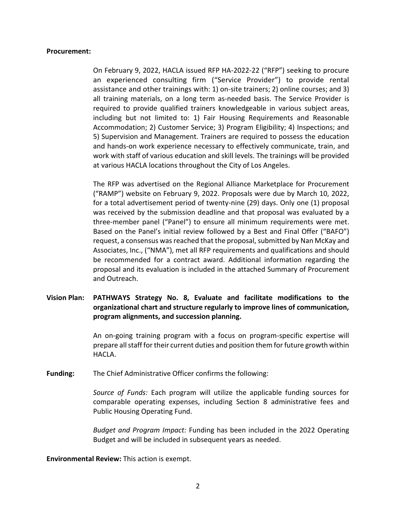### **Procurement:**

On February 9, 2022, HACLA issued RFP HA-2022-22 ("RFP") seeking to procure an experienced consulting firm ("Service Provider") to provide rental assistance and other trainings with: 1) on-site trainers; 2) online courses; and 3) all training materials, on a long term as-needed basis. The Service Provider is required to provide qualified trainers knowledgeable in various subject areas, including but not limited to: 1) Fair Housing Requirements and Reasonable Accommodation; 2) Customer Service; 3) Program Eligibility; 4) Inspections; and 5) Supervision and Management. Trainers are required to possess the education and hands-on work experience necessary to effectively communicate, train, and work with staff of various education and skill levels. The trainings will be provided at various HACLA locations throughout the City of Los Angeles.

The RFP was advertised on the Regional Alliance Marketplace for Procurement ("RAMP") website on February 9, 2022. Proposals were due by March 10, 2022, for a total advertisement period of twenty-nine (29) days. Only one (1) proposal was received by the submission deadline and that proposal was evaluated by a three-member panel ("Panel") to ensure all minimum requirements were met. Based on the Panel's initial review followed by a Best and Final Offer ("BAFO") request, a consensus was reached that the proposal, submitted by Nan McKay and Associates, Inc., ("NMA"), met all RFP requirements and qualifications and should be recommended for a contract award. Additional information regarding the proposal and its evaluation is included in the attached Summary of Procurement and Outreach.

# **Vision Plan: PATHWAYS Strategy No. 8, Evaluate and facilitate modifications to the organizational chart and structure regularly to improve lines of communication, program alignments, and succession planning.**

An on-going training program with a focus on program-specific expertise will prepare all staff for their current duties and position them for future growth within HACLA.

**Funding:** The Chief Administrative Officer confirms the following:

*Source of Funds:* Each program will utilize the applicable funding sources for comparable operating expenses, including Section 8 administrative fees and Public Housing Operating Fund.

*Budget and Program Impact:* Funding has been included in the 2022 Operating Budget and will be included in subsequent years as needed.

**Environmental Review:** This action is exempt.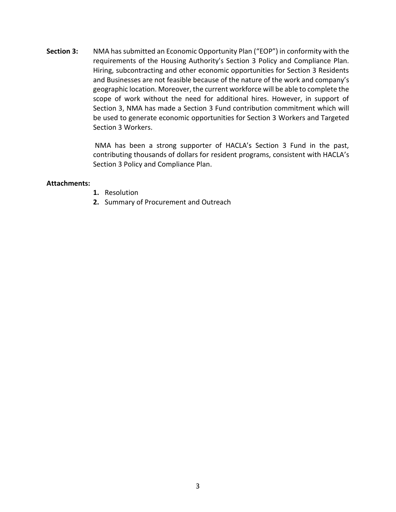**Section 3:** NMA has submitted an Economic Opportunity Plan ("EOP") in conformity with the requirements of the Housing Authority's Section 3 Policy and Compliance Plan. Hiring, subcontracting and other economic opportunities for Section 3 Residents and Businesses are not feasible because of the nature of the work and company's geographic location. Moreover, the current workforce will be able to complete the scope of work without the need for additional hires. However, in support of Section 3, NMA has made a Section 3 Fund contribution commitment which will be used to generate economic opportunities for Section 3 Workers and Targeted Section 3 Workers.

> NMA has been a strong supporter of HACLA's Section 3 Fund in the past, contributing thousands of dollars for resident programs, consistent with HACLA's Section 3 Policy and Compliance Plan.

## **Attachments:**

- **1.** Resolution
- **2.** Summary of Procurement and Outreach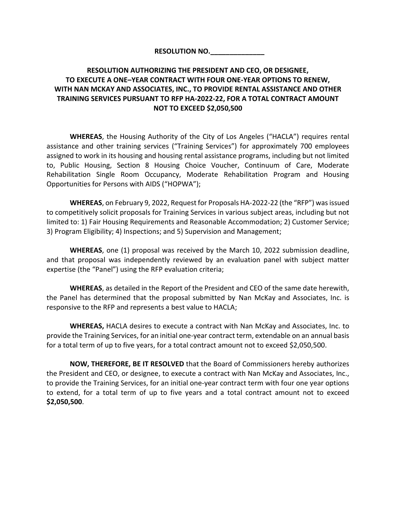## **RESOLUTION NO.\_\_\_\_\_\_\_\_\_\_\_\_\_\_**

# **RESOLUTION AUTHORIZING THE PRESIDENT AND CEO, OR DESIGNEE, TO EXECUTE A ONE–YEAR CONTRACT WITH FOUR ONE-YEAR OPTIONS TO RENEW, WITH NAN MCKAY AND ASSOCIATES, INC., TO PROVIDE RENTAL ASSISTANCE AND OTHER TRAINING SERVICES PURSUANT TO RFP HA-2022-22, FOR A TOTAL CONTRACT AMOUNT NOT TO EXCEED \$2,050,500**

**WHEREAS**, the Housing Authority of the City of Los Angeles ("HACLA") requires rental assistance and other training services ("Training Services") for approximately 700 employees assigned to work in its housing and housing rental assistance programs, including but not limited to, Public Housing, Section 8 Housing Choice Voucher, Continuum of Care, Moderate Rehabilitation Single Room Occupancy, Moderate Rehabilitation Program and Housing Opportunities for Persons with AIDS ("HOPWA");

**WHEREAS**, on February 9, 2022, Request for Proposals HA-2022-22 (the "RFP") was issued to competitively solicit proposals for Training Services in various subject areas, including but not limited to: 1) Fair Housing Requirements and Reasonable Accommodation; 2) Customer Service; 3) Program Eligibility; 4) Inspections; and 5) Supervision and Management;

**WHEREAS**, one (1) proposal was received by the March 10, 2022 submission deadline, and that proposal was independently reviewed by an evaluation panel with subject matter expertise (the "Panel") using the RFP evaluation criteria;

**WHEREAS**, as detailed in the Report of the President and CEO of the same date herewith, the Panel has determined that the proposal submitted by Nan McKay and Associates, Inc. is responsive to the RFP and represents a best value to HACLA;

**WHEREAS,** HACLA desires to execute a contract with Nan McKay and Associates, Inc. to provide the Training Services, for an initial one-year contract term, extendable on an annual basis for a total term of up to five years, for a total contract amount not to exceed \$2,050,500.

**NOW, THEREFORE, BE IT RESOLVED** that the Board of Commissioners hereby authorizes the President and CEO, or designee, to execute a contract with Nan McKay and Associates, Inc., to provide the Training Services, for an initial one-year contract term with four one year options to extend, for a total term of up to five years and a total contract amount not to exceed **\$2,050,500**.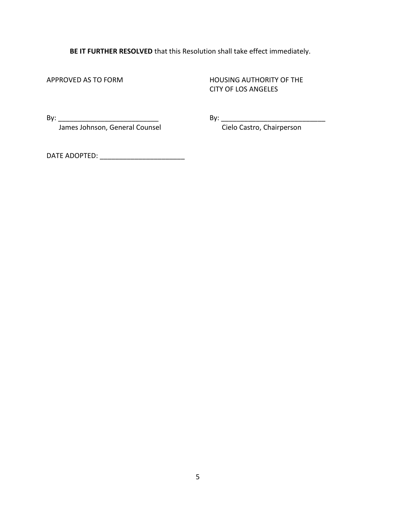**BE IT FURTHER RESOLVED** that this Resolution shall take effect immediately.

APPROVED AS TO FORM HOUSING AUTHORITY OF THE CITY OF LOS ANGELES

By: \_\_\_\_\_\_\_\_\_\_\_\_\_\_\_\_\_\_\_\_\_\_\_\_\_\_ By: \_\_\_\_\_\_\_\_\_\_\_\_\_\_\_\_\_\_\_\_\_\_\_\_\_\_\_

James Johnson, General Counsel Conserved Cielo Castro, Chairperson

DATE ADOPTED: \_\_\_\_\_\_\_\_\_\_\_\_\_\_\_\_\_\_\_\_\_\_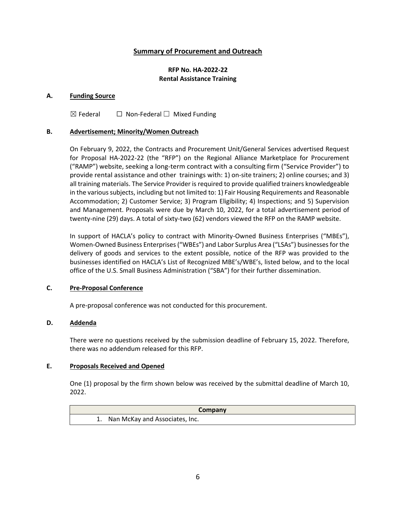## **Summary of Procurement and Outreach**

## **RFP No. HA-2022-22 Rental Assistance Training**

### **A. Funding Source**

 $\boxtimes$  Federal  $\Box$  Non-Federal  $\Box$  Mixed Funding

### **B. Advertisement; Minority/Women Outreach**

On February 9, 2022, the Contracts and Procurement Unit/General Services advertised Request for Proposal HA-2022-22 (the "RFP") on the Regional Alliance Marketplace for Procurement ("RAMP") website, seeking a long-term contract with a consulting firm ("Service Provider") to provide rental assistance and other trainings with: 1) on-site trainers; 2) online courses; and 3) all training materials. The Service Provider is required to provide qualified trainers knowledgeable in the various subjects, including but not limited to: 1) Fair Housing Requirements and Reasonable Accommodation; 2) Customer Service; 3) Program Eligibility; 4) Inspections; and 5) Supervision and Management. Proposals were due by March 10, 2022, for a total advertisement period of twenty-nine (29) days. A total of sixty-two (62) vendors viewed the RFP on the RAMP website.

In support of HACLA's policy to contract with Minority-Owned Business Enterprises ("MBEs"), Women-Owned Business Enterprises ("WBEs") and Labor Surplus Area ("LSAs") businesses for the delivery of goods and services to the extent possible, notice of the RFP was provided to the businesses identified on HACLA's List of Recognized MBE's/WBE's, listed below, and to the local office of the U.S. Small Business Administration ("SBA") for their further dissemination.

## **C. Pre-Proposal Conference**

A pre-proposal conference was not conducted for this procurement.

## **D. Addenda**

There were no questions received by the submission deadline of February 15, 2022. Therefore, there was no addendum released for this RFP.

#### **E. Proposals Received and Opened**

One (1) proposal by the firm shown below was received by the submittal deadline of March 10, 2022.

| Company                           |
|-----------------------------------|
| 1. Nan McKay and Associates, Inc. |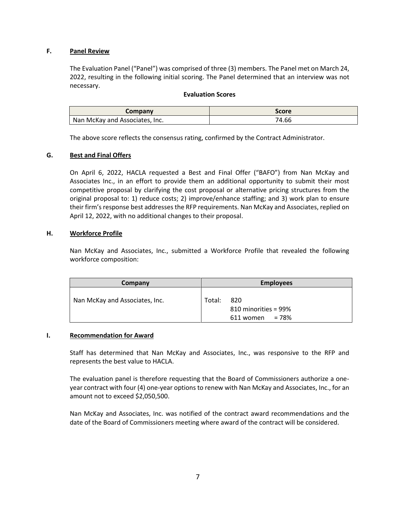### **F. Panel Review**

The Evaluation Panel ("Panel") was comprised of three (3) members. The Panel met on March 24, 2022, resulting in the following initial scoring. The Panel determined that an interview was not necessary.

#### **Evaluation Scores**

| Company                        | Score |
|--------------------------------|-------|
| Nan McKay and Associates, Inc. | 74.66 |

The above score reflects the consensus rating, confirmed by the Contract Administrator.

#### **G. Best and Final Offers**

On April 6, 2022, HACLA requested a Best and Final Offer ("BAFO") from Nan McKay and Associates Inc., in an effort to provide them an additional opportunity to submit their most competitive proposal by clarifying the cost proposal or alternative pricing structures from the original proposal to: 1) reduce costs; 2) improve/enhance staffing; and 3) work plan to ensure their firm's response best addresses the RFP requirements. Nan McKay and Associates, replied on April 12, 2022, with no additional changes to their proposal.

#### **H. Workforce Profile**

Nan McKay and Associates, Inc., submitted a Workforce Profile that revealed the following workforce composition:

| Company                        |        | <b>Employees</b>                                 |
|--------------------------------|--------|--------------------------------------------------|
| Nan McKay and Associates, Inc. | Total: | 820<br>810 minorities = 99%<br>$611$ women = 78% |

#### **I. Recommendation for Award**

Staff has determined that Nan McKay and Associates, Inc., was responsive to the RFP and represents the best value to HACLA.

The evaluation panel is therefore requesting that the Board of Commissioners authorize a oneyear contract with four (4) one-year options to renew with Nan McKay and Associates, Inc., for an amount not to exceed \$2,050,500.

Nan McKay and Associates, Inc. was notified of the contract award recommendations and the date of the Board of Commissioners meeting where award of the contract will be considered.